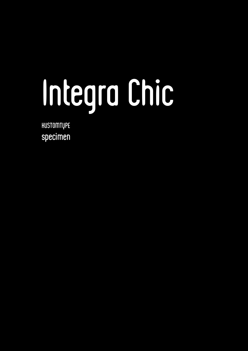# Integra Chic

HUSTOMTUPE specimen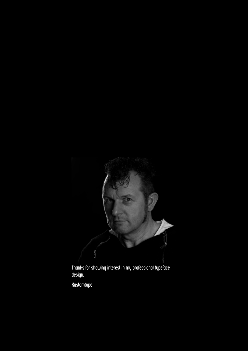

Thanks for showing interest in my professional typeface design.

Kustomtype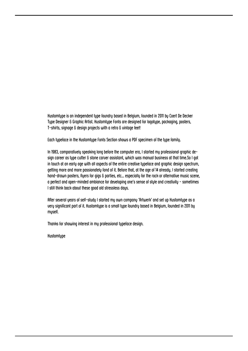Kustomtype is an independent type foundry based in Belgium, founded in 2011 by Coert De Decker Type Designer & Graphic Artist. Kustomtype Fonts are designed for logotype, packaging, posters, T-shirts, signage & design projects with a retro & vintage feel!

Each typeface in the Kustomtype Fonts Section shows a PDF specimen of the type family.

In 1983, comparatively speaking long before the computer era, I started my professional graphic design career as type cutter & stone carver assistant, which was manual business at that time. So I got in touch at an early age with all aspects of the entire creative typeface and graphic design spectrum, getting more and more passionately fond of it. Before that, at the age of 14 already, I started creating hand-drawn posters, flyers for gigs & parties, etc... especially for the rock or alternative music scene, a perfect and open-minded ambiance for developing one's sense of style and creativity - sometimes I still think back about these good old stressless days.

After several years of self-study I started my own company 'Artwerk' and set up Hustomtype as a very significant part of it. Kustomtype is a small type foundry based in Belgium, founded in 2011 by myself.

Thanks for showing interest in my professional typeface design.

**Hustomtupe**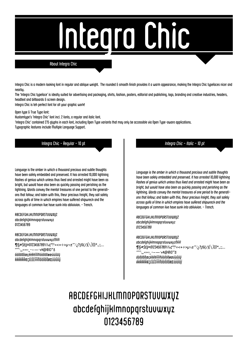## **COITOL Chi**

#### **About Integra Chic**

Integra Chic is a modern looking font in regular and oblique weight. The rounded & smooth finish provides it a warm appearance, making the Integra Chic typefaces nicer and nearbu.

The 'Integra Chic tupeface' is ideally suited for advertising and packaging, shirts, fashion, posters, editorial and publishing, logo, branding and creative industries, headers, headtext and billboards & screen design.

Integra Chic is teh perfect font for all your graphic work!

Open tupe & True Tupe font:

Hustomtupe's 'Integra Chic' font incl. 2 fonts, a regular and italic font.

'Integra Chic' contained 275 gluphs in each font, including Open Tupe variants that may only be accessible via Open Tupe-aware applications.

Tupographic features include Multiple Language Support.

Integra Chic - Regular - 10 pt

Language is the amber in which a thousand precious and subtle thoughts have been safely embedded and preserved. It has arrested 10,000 lightning flashes of genius which unless thus fixed and arrested might have been as bright, but would have also been as quickly passing and perishing as the lightning. Words convey the mental treasures of one period to the generations that follow; and laden with this, theur precious freight, they sail safely across qulfs of time in which empires have suffered shipwreck and the languages of common live have sunk into oblivivion. - Trench.

**ABCDEFGHIJKLMNOPORSTUVWXVZ** abcdefghijklmnopqrstuvwxyz 0123456789

ABCDEFGHIJKLMNOPORSTUVWXVZ abcdefghijklmnopgrstuvwxyzßfifl """;"«»∞\_--—-++@®©™∆ ádâäãåæçéèêëmmodôöõøæúùûüŲ ŔŔŔŔŔŔÆÇÉĔĔĔĨĨĨĨŇŎŎŎŎŎØŒÚÙŨŬŬ

Integra Chic - Italic - 10 pt

Language is the amber in which a thousand precious and subtle thoughts have been safely embedded and preserved. It has arrested 10,000 lightning flashes of genius which unless thus fixed and arrested might have been as bright, but would have also been as quickly passing and perishing as the lightning. Words convey the mental treasures of one period to the generations that follow; and laden with this, theur precious freight, they sail safely across qulfs of time in which empires have suffered shipwreck and the languages of common live have sunk into oblivivion. - Trench.

**ABCDEFGHIJHLMNOPORSTUVWXŲZ** abcdefqhijklmnopqrstuvwxyz 0123456789

**ABCDEFGHIJHLMNOPORSTUVWXUZ** abcdefghijklmnopgrstuvwxyzßfifl ¶§#\$£¥¤0123456789%‰¢°ºº=<+÷>µ¬±‴/¿?¡!&(/)[\}{|}\*.,:;... <sub>'',,,</sub>«»<sub>°-</sub>----+#@®©™∆ ádâäãåæçéèêëîîîñódôöõøæúùûüü ÁÀÂÄÃÅÆÇÉÈËËÎÎÎÑŐÒÔÖÕØŒÚÙÛÜÜ

## **ABCDEFGHIJKLMNOPORSTUVWXŲZ** abcdefghijklmnopgrstuvwxyz 0123456789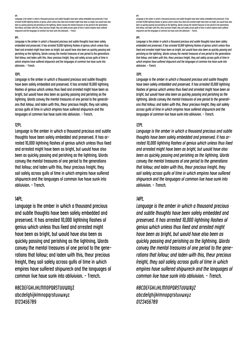6Pt.

Language is the amber in which a thousand precious and subtle thoughts have been safely embedded and preserved. It has arrested 10,000 lightning flashes of genius which unless thus fixed and arrested might have been as bright, but would have also<br>been as quickly passing and perishing as the lightning. Words convey the mental treasures of o that follow; and laden with this, theur precious freight, they sail safely across gulfs of time in which empires have suffered shipwreck and the languages of common live have sunk into oblivivion. - Trench.

#### 8Pt.

Language is the amber in which a thousand precious and subtle thoughts have been safely embedded and preserved. It has arrested 10,000 lightning flashes of genius which unless thus fixed and arrested might have been as bright, but would have also been as quickly passing and perishing as the lightning. Words convey the mental treasures of one period to the generations that follow; and laden with this, theur precious freight, they sail safely across gulfs of time in which empires have suffered shipwreck and the languages of common live have sunk into oblivivion. - Trench.

#### 10Pt.

Language is the amber in which a thousand precious and subtle thoughts have been safely embedded and preserved. It has arrested 10,000 lightning flashes of genius which unless thus fixed and arrested might have been as bright, but would have also been as quickly passing and perishing as the lightning. Words convey the mental treasures of one period to the generations that follow; and laden with this, theur precious freight, they sail safely across gulfs of time in which empires have suffered shipwreck and the languages of common live have sunk into oblivivion. - Trench.

#### 12Pt.

Language is the amber in which a thousand precious and subtle thoughts have been safely embedded and preserved. It has arrested 10,000 lightning flashes of genius which unless thus fixed and arrested might have been as bright, but would have also been as quickly passing and perishing as the lightning. Words convey the mental treasures of one period to the generations that follow; and laden with this, theur precious freight, they sail safely across gulfs of time in which empires have suffered shipwreck and the languages of common live have sunk into oblivivion. - Trench.

#### 14Pt.

Language is the amber in which a thousand precious and subtle thoughts have been safely embedded and preserved. It has arrested 10,000 lightning flashes of genius which unless thus fixed and arrested might have been as bright, but would have also been as quickly passing and perishing as the lightning. Words convey the mental treasures of one period to the generations that follow; and laden with this, theur precious freight, they sail safely across gulfs of time in which empires have suffered shipwreck and the languages of common live have sunk into oblivivion. - Trench.

ABCDEFGHIJKLMNOPQRSTUVWXYZ abcdefghijklmnopqrstuvwxyz 0123456789

#### *6Pt.*

*Language is the amber in which a thousand precious and subtle thoughts have been safely embedded and preserved. It has*  arrested 10,000 lightning flashes of genius which unless thus fixed and arrested might have been as bright, but would have also<br>been as quickly passing and perishing as the lightning. Words convey the mental treasures of o *that follow; and laden with this, theur precious freight, they sail safely across gulfs of time in which empires have suffered shipwreck and the languages of common live have sunk into oblivivion. - Trench.*

#### *8Pt.*

*Language is the amber in which a thousand precious and subtle thoughts have been safely embedded and preserved. It has arrested 10,000 lightning flashes of genius which unless thus fixed and arrested might have been as bright, but would have also been as quickly passing and perishing as the lightning. Words convey the mental treasures of one period to the generations that follow; and laden with this, theur precious freight, they sail safely across gulfs of time in which empires have suffered shipwreck and the languages of common live have sunk into oblivivion. - Trench.*

#### *10Pt.*

*Language is the amber in which a thousand precious and subtle thoughts have been safely embedded and preserved. It has arrested 10,000 lightning flashes of genius which unless thus fixed and arrested might have been as bright, but would have also been as quickly passing and perishing as the*  lightning. Words convey the mental treasures of one period to the generati*ons that follow; and laden with this, theur precious freight, they sail safely across gulfs of time in which empires have suffered shipwreck and the languages of common live have sunk into oblivivion. - Trench.*

#### *12Pt.*

*Language is the amber in which a thousand precious and subtle thoughts have been safely embedded and preserved. It has arrested 10,000 lightning flashes of genius which unless thus fixed and arrested might have been as bright, but would have also been as quickly passing and perishing as the lightning. Words convey the mental treasures of one period to the generations that follow; and laden with this, theur precious freight, they sail safely across gulfs of time in which empires have suffered shipwreck and the languages of common live have sunk into oblivivion. - Trench.*

#### *14Pt.*

*Language is the amber in which a thousand precious and subtle thoughts have been safely embedded and preserved. It has arrested 10,000 lightning flashes of genius which unless thus fixed and arrested might have been as bright, but would have also been as quickly passing and perishing as the lightning. Words convey the mental treasures of one period to the generations that follow; and laden with this, theur precious freight, they sail safely across gulfs of time in which empires have suffered shipwreck and the languages of common live have sunk into oblivivion. - Trench.*

*ABCDEFGHIJKLMNOPQRSTUVWXYZ abcdefghijklmnopqrstuvwxyz 0123456789*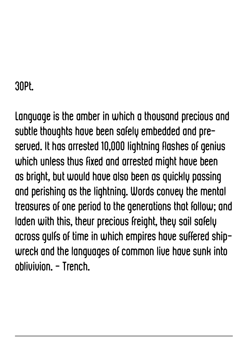## 30Pt.

Language is the amber in which a thousand precious and subtle thoughts have been safely embedded and preserved. It has arrested 10,000 lightning flashes of genius which unless thus fixed and arrested might have been as bright, but would have also been as quickly passing and perishing as the lightning. Words convey the mental treasures of one period to the generations that follow; and laden with this, theur precious freight, they sail safely across gulfs of time in which empires have suffered shipwreck and the languages of common live have sunk into oblivivion. - Trench.